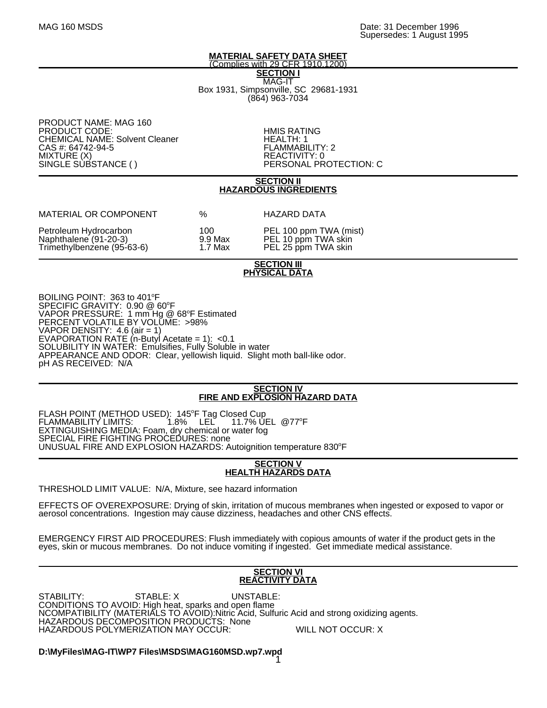#### **MATERIAL SAFETY DATA SHEET** (Complies with 29 CFR 1910.1200)

**SECTION I** MAG-IT Box 1931, Simpsonville, SC 29681-1931 (864) 963-7034

PRODUCT NAME: MAG 160 PRODUCT CODE: The CODE CODE CONTROL CODE CONTROL CONTROL CONTROL CONTROL CONTROL CONTROL CONTROL CONTROL CONTR<br>The CONTROL CONTROL CONTROL CONTROL CONTROL CONTROL CONTROL CONTROL CONTROL CONTROL CONTROL CONTROL CONTROL CO CHEMICAL NAME: Solvent Cleaner **HEALTH: 1** CAS #: 64742-94-5 FLAMMABILITY: 2<br>MIXTURE (X) REACTIVITY: 0 MIXTURE (X)<br>SINGLE SUBSTANCE ()

PERSONAL PROTECTION: C

#### **SECTION II HAZARDOUS INGREDIENTS**

| MATERIAL OR COMPONENT                                                        | ℅                          | HAZARD DATA                                                          |
|------------------------------------------------------------------------------|----------------------------|----------------------------------------------------------------------|
| Petroleum Hydrocarbon<br>Naphthalene (91-20-3)<br>Trimethylbenzene (95-63-6) | 100.<br>9.9 Max<br>1.7 Max | PEL 100 ppm TWA (mist)<br>PEL 10 ppm TWA skin<br>PEL 25 ppm TWA skin |

## **SECTION III PHYSICAL DATA**

BOILING POINT: 363 to 401°F SPECIFIC GRAVITY: 0.90 @ 60°F VAPOR PRESSURE: 1 mm Hg  $@$  68°F Estimated PERCENT VOLATILE BY VOLUME: >98% VAPOR DENSITY: 4.6 (air = 1) EVAPORATION RATE (n-Butyl Acetate = 1): <0.1 SOLUBILITY IN WATER: Emulsifies, Fully Soluble in water APPEARANCE AND ODOR: Clear, yellowish liquid. Slight moth ball-like odor. pH AS RECEIVED: N/A

# **SECTION IV FIRE AND EXPLOSION HAZARD DATA**

FLASH POINT (METHOD USED): 145°F Tag Closed Cup<br>FLAMMABILITY LIMITS: 1.8% LEL 11.7% U FLAMMABILITY LIMITS: 11.7% UEL @77°F EXTINGUISHING MEDIA: Foam, dry chemical or water fog SPECIAL FIRE FIGHTING PROCEDURES: none UNUSUAL FIRE AND EXPLOSION HAZARDS: Autoignition temperature 830°F

#### **SECTION V HEALTH HAZARDS DATA**

THRESHOLD LIMIT VALUE: N/A, Mixture, see hazard information

EFFECTS OF OVEREXPOSURE: Drying of skin, irritation of mucous membranes when ingested or exposed to vapor or aerosol concentrations. Ingestion may cause dizziness, headaches and other CNS effects.

EMERGENCY FIRST AID PROCEDURES: Flush immediately with copious amounts of water if the product gets in the eyes, skin or mucous membranes. Do not induce vomiting if ingested. Get immediate medical assistance.

# **SECTION VI REACTIVITY DATA**

STABILITY: STABLE: X UNSTABLE: CONDITIONS TO AVOID: High heat, sparks and open flame NCOMPATIBILITY (MATERIALS TO AVOID):Nitric Acid, Sulfuric Acid and strong oxidizing agents. HAZARDOUS DECOMPOSITION PRODUCTS: None HAZARDOUS POLYMERIZATION MAY OCCUR: WILL NOT OCCUR: X

**D:\MyFiles\MAG-IT\WP7 Files\MSDS\MAG160MSD.wp7.wpd** 1